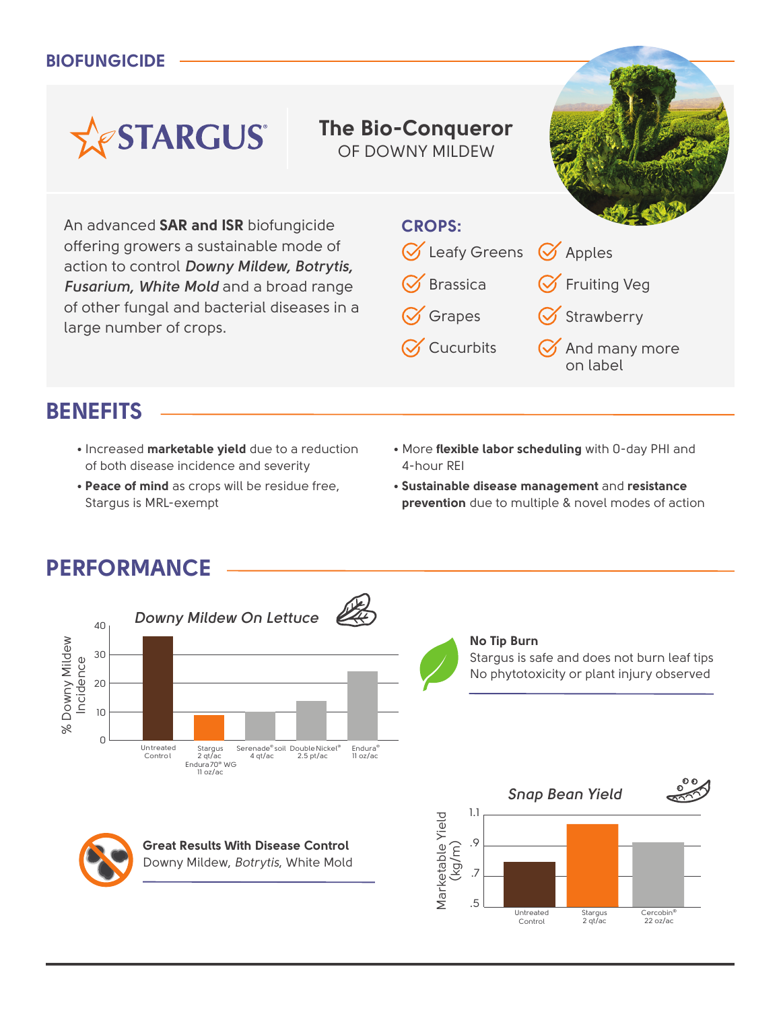#### **BIOFUNGICIDE**

# **The Bio-Conqueror**

OF DOWNY MILDEW



An advanced **SAR and ISR** biofungicide offering growers a sustainable mode of action to control *Downy Mildew, Botrytis, Fusarium, White Mold* and a broad range of other fungal and bacterial diseases in a large number of crops.

**ASTARGUS** 

#### **CROPS:**



## **BENEFITS**

- Increased **marketable yield** due to a reduction of both disease incidence and severity
- **Peace of mind** as crops will be residue free, Stargus is MRL-exempt
- More **flexible labor scheduling** with 0-day PHI and 4-hour REI
- **Sustainable disease management** and **resistance prevention** due to multiple & novel modes of action

## **PERFORMANCE**



**Great Results With Disease Control Great Results With Disease Control** Downy Mildew, *Botrytis*, White Mold Downy Mildew, *Botrytis*, White Mold



#### **No Tip Burn**

Stargus is safe and does not burn leaf tips Stargus is safe and does not burn to No phytotoxicity or plant injury observed. No phytotoxicity or plant injury observed